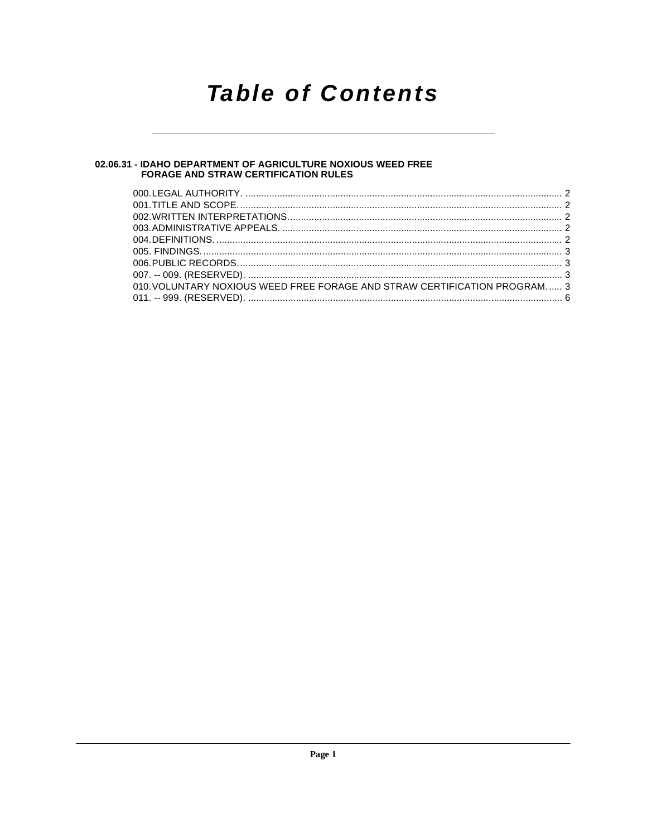# **Table of Contents**

# 02.06.31 - IDAHO DEPARTMENT OF AGRICULTURE NOXIOUS WEED FREE<br>FORAGE AND STRAW CERTIFICATION RULES

| 010. VOLUNTARY NOXIOUS WEED FREE FORAGE AND STRAW CERTIFICATION PROGRAM 3 |  |
|---------------------------------------------------------------------------|--|
|                                                                           |  |
|                                                                           |  |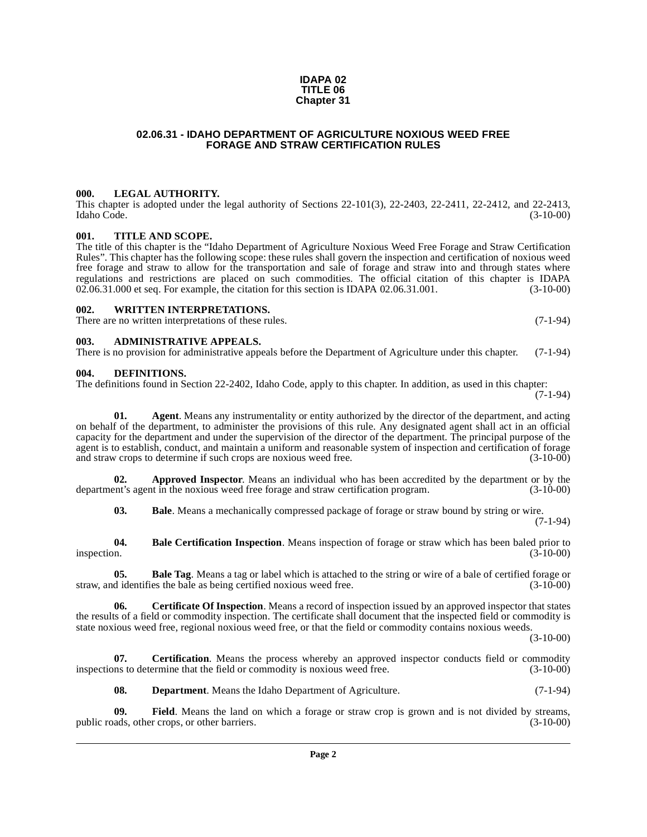#### **IDAPA 02 TITLE 06 Chapter 31**

### **02.06.31 - IDAHO DEPARTMENT OF AGRICULTURE NOXIOUS WEED FREE FORAGE AND STRAW CERTIFICATION RULES**

### <span id="page-1-1"></span><span id="page-1-0"></span>**000. LEGAL AUTHORITY.**

This chapter is adopted under the legal authority of Sections 22-101(3), 22-2403, 22-2411, 22-2412, and 22-2413, Idaho Code. (3-10-00)

### <span id="page-1-2"></span>**001. TITLE AND SCOPE.**

The title of this chapter is the "Idaho Department of Agriculture Noxious Weed Free Forage and Straw Certification Rules". This chapter has the following scope: these rules shall govern the inspection and certification of noxious weed free forage and straw to allow for the transportation and sale of forage and straw into and through states where regulations and restrictions are placed on such commodities. The official citation of this chapter is IDAPA 02.06.31.000 et seq. For example, the citation for this section is IDAPA 02.06.31.001. (3-10-00)  $02.06.31.000$  et seq. For example, the citation for this section is IDAPA  $02.06.31.001$ .

### <span id="page-1-3"></span>**002. WRITTEN INTERPRETATIONS.**

There are no written interpretations of these rules. (7-1-94)

### <span id="page-1-4"></span>**003. ADMINISTRATIVE APPEALS.**

There is no provision for administrative appeals before the Department of Agriculture under this chapter. (7-1-94)

### <span id="page-1-12"></span><span id="page-1-5"></span>**004. DEFINITIONS.**

The definitions found in Section 22-2402, Idaho Code, apply to this chapter. In addition, as used in this chapter: (7-1-94)

**01.** Agent. Means any instrumentality or entity authorized by the director of the department, and acting on behalf of the department, to administer the provisions of this rule. Any designated agent shall act in an official capacity for the department and under the supervision of the director of the department. The principal purpose of the agent is to establish, conduct, and maintain a uniform and reasonable system of inspection and certification of forage<br>and straw crops to determine if such crops are noxious weed free. (3-10-00) and straw crops to determine if such crops are noxious weed free.

**02. Approved Inspector**. Means an individual who has been accredited by the department or by the net's agent in the noxious weed free forage and straw certification program. (3-10-00) department's agent in the noxious weed free forage and straw certification program.

<span id="page-1-9"></span><span id="page-1-8"></span><span id="page-1-7"></span><span id="page-1-6"></span>**03. Bale**. Means a mechanically compressed package of forage or straw bound by string or wire. (7-1-94)

**04.** Bale Certification Inspection. Means inspection of forage or straw which has been baled prior to inspection.  $(3-10-00)$ inspection.  $(3-10-00)$ 

**05. Bale Tag**. Means a tag or label which is attached to the string or wire of a bale of certified forage or straw, and identifies the bale as being certified noxious weed free.  $(3-10-00)$ 

<span id="page-1-10"></span>**06. Certificate Of Inspection**. Means a record of inspection issued by an approved inspector that states the results of a field or commodity inspection. The certificate shall document that the inspected field or commodity is state noxious weed free, regional noxious weed free, or that the field or commodity contains noxious weeds.

(3-10-00)

**07. Certification**. Means the process whereby an approved inspector conducts field or commodity ins to determine that the field or commodity is noxious weed free. (3-10-00) inspections to determine that the field or commodity is noxious weed free.

<span id="page-1-14"></span><span id="page-1-13"></span><span id="page-1-11"></span>**08. Department**. Means the Idaho Department of Agriculture. (7-1-94)

**09. Field**. Means the land on which a forage or straw crop is grown and is not divided by streams, public roads, other crops, or other barriers. (3-10-00)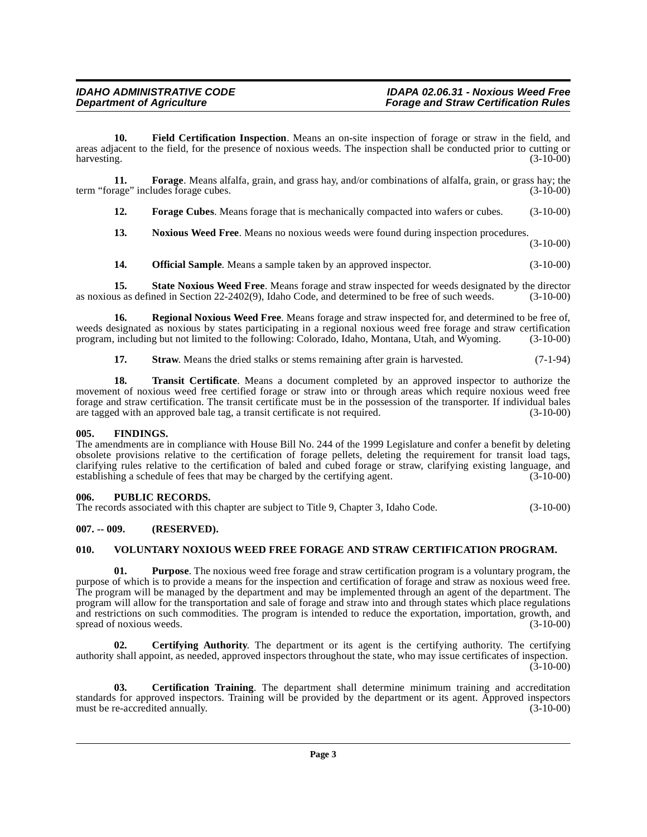<span id="page-2-6"></span>**10. Field Certification Inspection**. Means an on-site inspection of forage or straw in the field, and areas adjacent to the field, for the presence of noxious weeds. The inspection shall be conducted prior to cutting or harvesting. (3-10-00) harvesting. (3-10-00)

**11. Forage**. Means alfalfa, grain, and grass hay, and/or combinations of alfalfa, grain, or grass hay; the rage" includes forage cubes. (3-10-00) term "forage" includes forage cubes.

<span id="page-2-8"></span><span id="page-2-7"></span>**12. Forage Cubes**. Means forage that is mechanically compacted into wafers or cubes. (3-10-00)

<span id="page-2-9"></span>**13. Noxious Weed Free**. Means no noxious weeds were found during inspection procedures.

(3-10-00)

<span id="page-2-13"></span><span id="page-2-12"></span><span id="page-2-10"></span>**14. Official Sample**. Means a sample taken by an approved inspector. (3-10-00)

**15.** State Noxious Weed Free. Means forage and straw inspected for weeds designated by the director us as defined in Section 22-2402(9), Idaho Code, and determined to be free of such weeds.  $(3-10-00)$ as noxious as defined in Section 22-2402(9), Idaho Code, and determined to be free of such weeds.

**16. Regional Noxious Weed Free**. Means forage and straw inspected for, and determined to be free of, weeds designated as noxious by states participating in a regional noxious weed free forage and straw certification program, including but not limited to the following: Colorado, Idaho, Montana, Utah, and Wyoming. (3-10-00) program, including but not limited to the following: Colorado, Idaho, Montana, Utah, and Wyoming.

<span id="page-2-15"></span><span id="page-2-14"></span>**17. Straw**. Means the dried stalks or stems remaining after grain is harvested.  $(7-1-94)$ 

**18. Transit Certificate**. Means a document completed by an approved inspector to authorize the movement of noxious weed free certified forage or straw into or through areas which require noxious weed free forage and straw certification. The transit certificate must be in the possession of the transporter. If individual bales are tagged with an approved bale tag, a transit certificate is not required.

# <span id="page-2-0"></span>**005. FINDINGS.**

The amendments are in compliance with House Bill No. 244 of the 1999 Legislature and confer a benefit by deleting obsolete provisions relative to the certification of forage pellets, deleting the requirement for transit load tags, clarifying rules relative to the certification of baled and cubed forage or straw, clarifying existing language, and establishing a schedule of fees that may be charged by the certifying agent. (3-10-00)

# <span id="page-2-1"></span>**006. PUBLIC RECORDS.**

The records associated with this chapter are subject to Title 9, Chapter 3, Idaho Code. (3-10-00)

# <span id="page-2-2"></span>**007. -- 009. (RESERVED).**

# <span id="page-2-3"></span>**010. VOLUNTARY NOXIOUS WEED FREE FORAGE AND STRAW CERTIFICATION PROGRAM.**

<span id="page-2-11"></span>**01. Purpose**. The noxious weed free forage and straw certification program is a voluntary program, the purpose of which is to provide a means for the inspection and certification of forage and straw as noxious weed free. The program will be managed by the department and may be implemented through an agent of the department. The program will allow for the transportation and sale of forage and straw into and through states which place regulations and restrictions on such commodities. The program is intended to reduce the exportation, importation, growth, and spread of noxious weeds. (3-10-00)

<span id="page-2-5"></span>**02. Certifying Authority**. The department or its agent is the certifying authority. The certifying authority shall appoint, as needed, approved inspectors throughout the state, who may issue certificates of inspection.  $(3-10-00)$ 

<span id="page-2-4"></span>**03. Certification Training**. The department shall determine minimum training and accreditation standards for approved inspectors. Training will be provided by the department or its agent. Approved inspectors must be re-accredited annually. (3-10-00) must be re-accredited annually.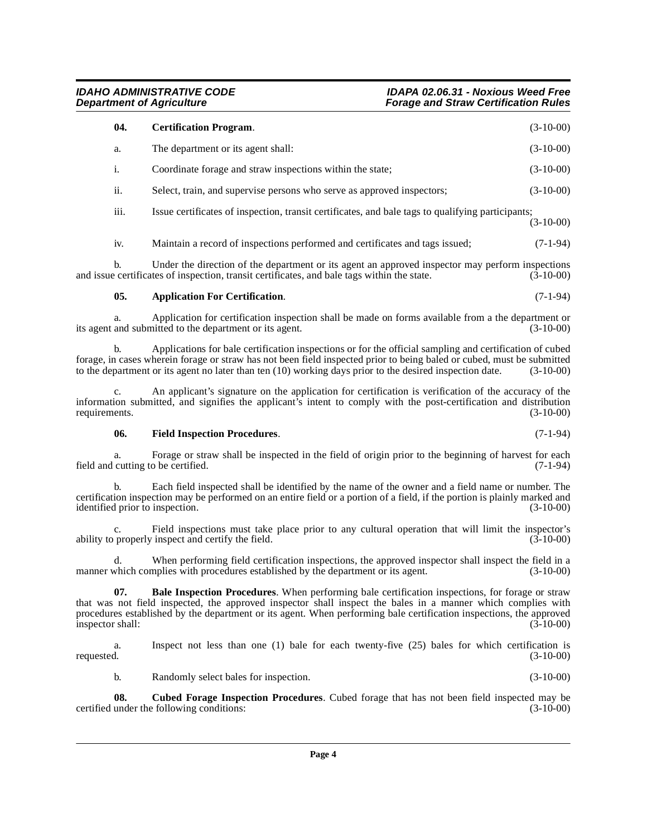and issue certificates of inspection, transit certificates, and bale tags within the state.

a. Inspect not less than one (1) bale for each twenty-five (25) bales for which certification is requested. (3-10-00) requested. (3-10-00) b. Randomly select bales for inspection. (3-10-00)

<span id="page-3-3"></span>**08.** Cubed Forage Inspection Procedures. Cubed forage that has not been field inspected may be under the following conditions: (3-10-00) certified under the following conditions:

c. An applicant's signature on the application for certification is verification of the accuracy of the

<span id="page-3-4"></span>**06. Field Inspection Procedures**. (7-1-94)

a. Forage or straw shall be inspected in the field of origin prior to the beginning of harvest for each cutting to be certified. (7-1-94) field and cutting to be certified.

b. Each field inspected shall be identified by the name of the owner and a field name or number. The identified prior to inspection. (3-10-00)

Field inspections must take place prior to any cultural operation that will limit the inspector's inspect and certify the field. (3-10-00) ability to properly inspect and certify the field.

d. When performing field certification inspections, the approved inspector shall inspect the field in a manner which complies with procedures established by the department or its agent.  $(3-10-00)$ 

that was not field inspected, the approved inspector shall inspect the bales in a manner which complies with procedures established by the department or its agent. When performing bale certification inspections, the approved inspector shall: (3-10-00)

<span id="page-3-1"></span>**07. Bale Inspection Procedures**. When performing bale certification inspections, for forage or straw

certification inspection may be performed on an entire field or a portion of a field, if the portion is plainly marked and

information submitted, and signifies the applicant's intent to comply with the post-certification and distribution requirements. (3-10-00) requirements.

b. Applications for bale certification inspections or for the official sampling and certification of cubed forage, in cases wherein forage or straw has not been field inspected prior to being baled or cubed, must be submitted

to the department or its agent no later than ten (10) working days prior to the desired inspection date. (3-10-00)

<span id="page-3-0"></span>

its agent and submitted to the department or its agent. (3-10-00)

**05. Application For Certification**. (7-1-94)

a. Application for certification inspection shall be made on forms available from a the department or

<span id="page-3-2"></span>**04. Certification Program**. (3-10-00)

a. The department or its agent shall: (3-10-00)

**Forage and Straw Certification Rules** 

# **IDAHO ADMINISTRATIVE CODE**<br>Department of Agriculture in the example of the example of the example of the example of the example of the example of the Department of Agriculture

(3-10-00)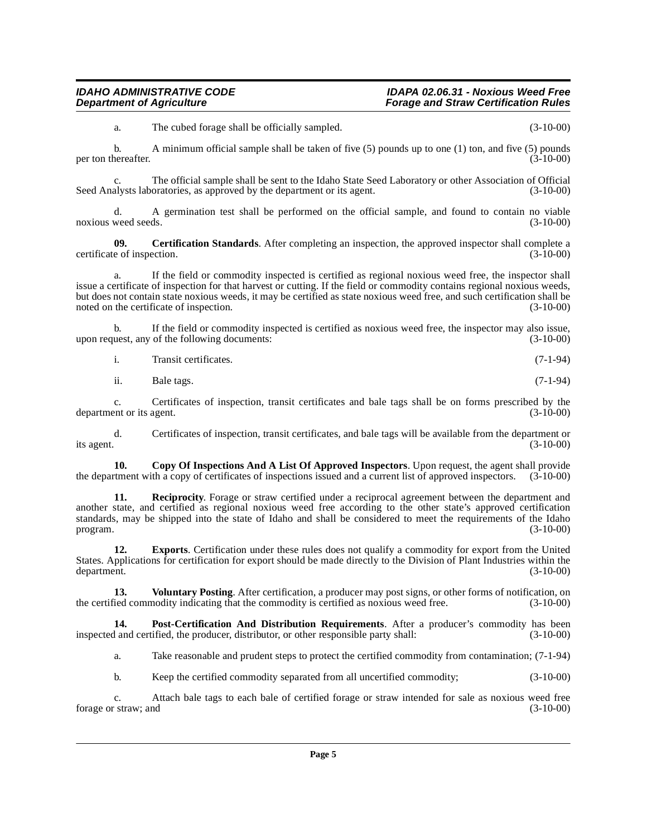a. The cubed forage shall be officially sampled. (3-10-00)

b. A minimum official sample shall be taken of five (5) pounds up to one (1) ton, and five (5) pounds per ton thereafter.  $(3-10-00)$ 

The official sample shall be sent to the Idaho State Seed Laboratory or other Association of Official oratories, as approved by the department or its agent. (3-10-00) Seed Analysts laboratories, as approved by the department or its agent.

d. A germination test shall be performed on the official sample, and found to contain no viable noxious weed seeds. (3-10-00)

<span id="page-4-0"></span>**09. Certification Standards**. After completing an inspection, the approved inspector shall complete a e of inspection. (3-10-00) certificate of inspection.

a. If the field or commodity inspected is certified as regional noxious weed free, the inspector shall issue a certificate of inspection for that harvest or cutting. If the field or commodity contains regional noxious weeds, but does not contain state noxious weeds, it may be certified as state noxious weed free, and such certification shall be noted on the certificate of inspection. noted on the certificate of inspection.

b. If the field or commodity inspected is certified as noxious weed free, the inspector may also issue, uest, any of the following documents: (3-10-00) upon request, any of the following documents:

| Transit certificates. | $(7-1-94)$ |
|-----------------------|------------|
|-----------------------|------------|

ii. Bale tags.  $(7-1-94)$ 

c. Certificates of inspection, transit certificates and bale tags shall be on forms prescribed by the department or its agent.

d. Certificates of inspection, transit certificates, and bale tags will be available from the department or its agent. (3-10-00)  $i$  its agent.  $(3-10-00)$ 

<span id="page-4-1"></span>**10. Copy Of Inspections And A List Of Approved Inspectors**. Upon request, the agent shall provide the department with a copy of certificates of inspections issued and a current list of approved inspectors. (3-10-00)

<span id="page-4-4"></span>**11. Reciprocity**. Forage or straw certified under a reciprocal agreement between the department and another state, and certified as regional noxious weed free according to the other state's approved certification standards, may be shipped into the state of Idaho and shall be considered to meet the requirements of the Idaho  $\mu$  program.  $(3-10-00)$ 

<span id="page-4-2"></span>**12. Exports**. Certification under these rules does not qualify a commodity for export from the United States. Applications for certification for export should be made directly to the Division of Plant Industries within the department. (3-10-00)

<span id="page-4-5"></span>**13. Voluntary Posting**. After certification, a producer may post signs, or other forms of notification, on red commodity indicating that the commodity is certified as noxious weed free. (3-10-00) the certified commodity indicating that the commodity is certified as noxious weed free.

**14. Post-Certification And Distribution Requirements**. After a producer's commodity has been inspected and certified, the producer, distributor, or other responsible party shall: (3-10-00)

<span id="page-4-3"></span>a. Take reasonable and prudent steps to protect the certified commodity from contamination; (7-1-94)

b. Keep the certified commodity separated from all uncertified commodity; (3-10-00)

c. Attach bale tags to each bale of certified forage or straw intended for sale as noxious weed free forage or straw; and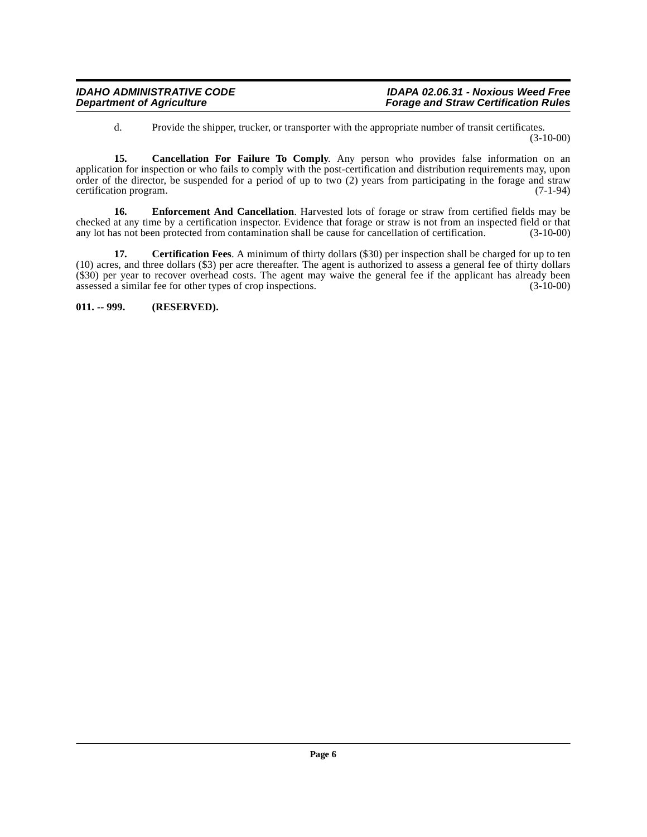<span id="page-5-1"></span>d. Provide the shipper, trucker, or transporter with the appropriate number of transit certificates. (3-10-00)

**15. Cancellation For Failure To Comply**. Any person who provides false information on an application for inspection or who fails to comply with the post-certification and distribution requirements may, upon order of the director, be suspended for a period of up to two (2) years from participating in the forage and straw<br>certification program. (7-1-94) certification program.

<span id="page-5-3"></span>**16. Enforcement And Cancellation**. Harvested lots of forage or straw from certified fields may be checked at any time by a certification inspector. Evidence that forage or straw is not from an inspected field or that any lot has not been protected from contamination shall be cause for cancellation of certification. (3any lot has not been protected from contamination shall be cause for cancellation of certification.

<span id="page-5-2"></span>**17.** Certification Fees. A minimum of thirty dollars (\$30) per inspection shall be charged for up to ten (10) acres, and three dollars (\$3) per acre thereafter. The agent is authorized to assess a general fee of thirty dollars (\$30) per year to recover overhead costs. The agent may waive the general fee if the applicant has already been assessed a similar fee for other types of crop inspections. (3-10-00) assessed a similar fee for other types of crop inspections.

<span id="page-5-0"></span>**011. -- 999. (RESERVED).**